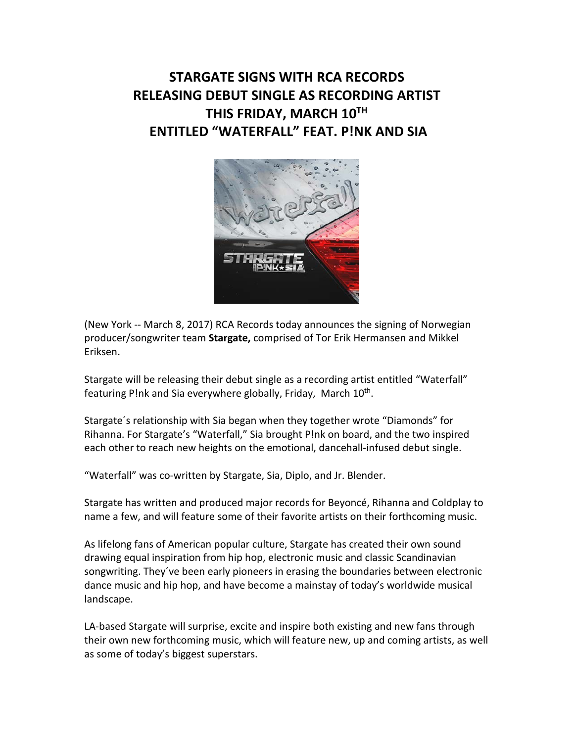## **STARGATE SIGNS WITH RCA RECORDS RELEASING DEBUT SINGLE AS RECORDING ARTIST THIS FRIDAY, MARCH 10TH ENTITLED "WATERFALL" FEAT. P!NK AND SIA**



(New York -- March 8, 2017) RCA Records today announces the signing of Norwegian producer/songwriter team **Stargate,** comprised of Tor Erik Hermansen and Mikkel Eriksen.

Stargate will be releasing their debut single as a recording artist entitled "Waterfall" featuring P!nk and Sia everywhere globally, Friday, March 10<sup>th</sup>.

Stargate´s relationship with Sia began when they together wrote "Diamonds" for Rihanna. For Stargate's "Waterfall," Sia brought P!nk on board, and the two inspired each other to reach new heights on the emotional, dancehall-infused debut single.

"Waterfall" was co-written by Stargate, Sia, Diplo, and Jr. Blender.

Stargate has written and produced major records for Beyoncé, Rihanna and Coldplay to name a few, and will feature some of their favorite artists on their forthcoming music.

As lifelong fans of American popular culture, Stargate has created their own sound drawing equal inspiration from hip hop, electronic music and classic Scandinavian songwriting. They´ve been early pioneers in erasing the boundaries between electronic dance music and hip hop, and have become a mainstay of today's worldwide musical landscape.

LA-based Stargate will surprise, excite and inspire both existing and new fans through their own new forthcoming music, which will feature new, up and coming artists, as well as some of today's biggest superstars.